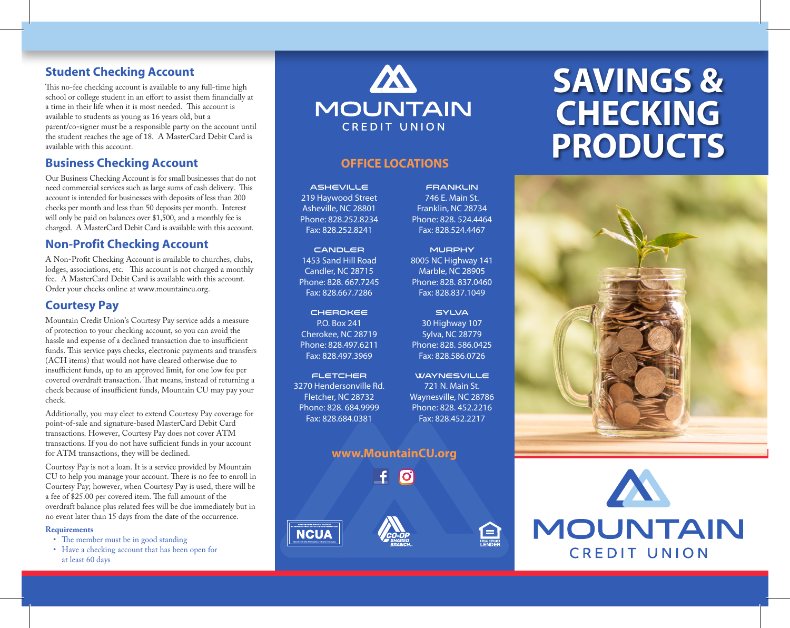### **Student Checking Account**

This no-fee checking account is available to any full-time high school or college student in an effort to assist them financially at a time in their life when it is most needed. This account is available to students as young as 16 years old, but a parent/co-signer must be a responsible party on the account until the student reaches the age of 18. A MasterCard Debit Card is available with this account.

### **Business Checking Account**

Our Business Checking Account is for small businesses that do not need commercial services such as large sums of cash delivery. This account is intended for businesses with deposits of less than 200 checks per month and less than 50 deposits per month. Interest will only be paid on balances over \$1,500, and a monthly fee is charged. A MasterCard Debit Card is available with this account.

### **Non-Profit Checking Account**

A Non-Profit Checking Account is available to churches, clubs, lodges, associations, etc. This account is not charged a monthly fee. A MasterCard Debit Card is available with this account. Order your checks online at www.mountaincu.org.

#### **Courtesy Pay**

Mountain Credit Union's Courtesy Pay service adds a measure of protection to your checking account, so you can avoid the hassle and expense of a declined transaction due to insufficient funds. This service pays checks, electronic payments and transfers (ACH items) that would not have cleared otherwise due to insufficient funds, up to an approved limit, for one low fee per covered overdraft transaction. That means, instead of returning a check because of insufficient funds, Mountain CU may pay your check.

Additionally, you may elect to extend Courtesy Pay coverage for point-of-sale and signature-based MasterCard Debit Card transactions. However, Courtesy Pay does not cover ATM transactions. If you do not have sufficient funds in your account for ATM transactions, they will be declined.

Courtesy Pay is not a loan. It is a service provided by Mountain CU to help you manage your account. There is no fee to enroll in Courtesy Pay; however, when Courtesy Pay is used, there will be a fee of \$25.00 per covered item. The full amount of the overdraft balance plus related fees will be due immediately but in no event later than 15 days from the date of the occurrence.

#### **Requirements**

- The member must be in good standing
- Have a checking account that has been open for at least 60 days



#### **OFFICE LOCATIONS**

**ASHEVILLE** 219 Haywood Street Asheville, NC 28801 Phone: 828.252.8234 Fax: 828.252.8241

**CANDLER** 1453 Sand Hill Road Candler, NC 28715 Phone: 828. 667.7245 Fax: 828.667.7286

**CHEROKEE** P.O. Box 241 Cherokee, NC 28719 Phone: 828.497.6211 Fax: 828.497.3969

**FLETCHER** 3270 Hendersonville Rd. Fletcher, NC 28732 Phone: 828. 684.9999 Fax: 828.684.0381

#### **www.MountainCU.org**

 $|O|$ 



746 E. Main St. Franklin, NC 28734 Phone: 828. 524.4464 Fax: 828.524.4467

**FRANKLIN** 

**MURPHY** 8005 NC Highway 141 Marble, NC 28905 Phone: 828. 837.0460 Fax: 828.837.1049

**SYLVA** 30 Highway 107 Sylva, NC 28779 Phone: 828. 586.0425 Fax: 828.586.0726

**WAYNESVILLE** 721 N. Main St. Waynesville, NC 28786 Phone: 828. 452.2216 Fax: 828.452.2217

 $\blacksquare$ 

# **SAVINGS & CHECKING PRODUCTS**